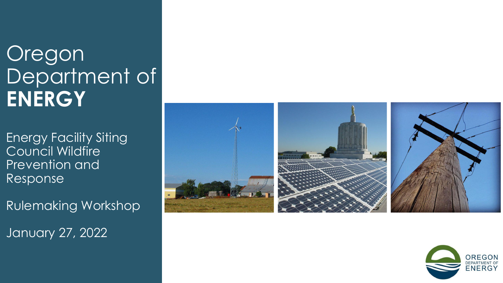## Oregon Department of **ENERGY**

Energy Facility Siting Council Wildfire Prevention and Response

Rulemaking Workshop January 27, 2022



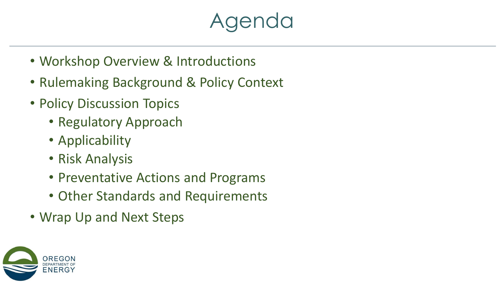### Agenda

- Workshop Overview & Introductions
- Rulemaking Background & Policy Context
- Policy Discussion Topics
	- Regulatory Approach
	- Applicability
	- Risk Analysis
	- Preventative Actions and Programs
	- Other Standards and Requirements
- Wrap Up and Next Steps

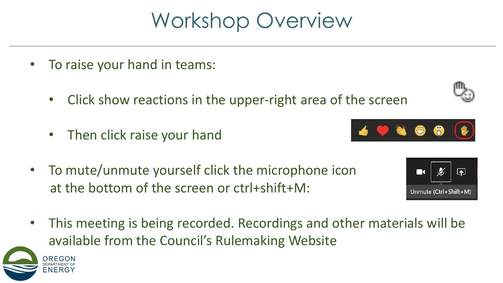## Workshop Overview

- To raise your hand in teams:
	- Click show reactions in the upper-right area of the screen
	- Then click raise your hand
- To mute/unmute yourself click the microphone icon at the bottom of the screen or ctrl+shift+M:
- This meeting is being recorded. Recordings and other materials will be available from the Council's Rulemaking Website





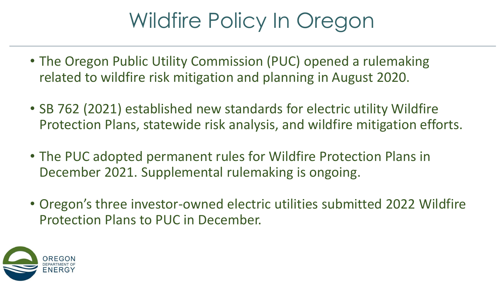# Wildfire Policy In Oregon

- The Oregon Public Utility Commission (PUC) opened a rulemaking related to wildfire risk mitigation and planning in August 2020.
- SB 762 (2021) established new standards for electric utility Wildfire Protection Plans, statewide risk analysis, and wildfire mitigation efforts.
- The PUC adopted permanent rules for Wildfire Protection Plans in December 2021. Supplemental rulemaking is ongoing.
- Oregon's three investor-owned electric utilities submitted 2022 Wildfire Protection Plans to PUC in December.

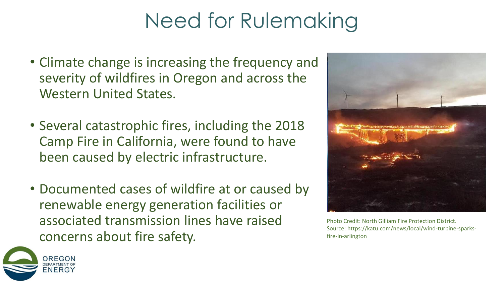# Need for Rulemaking

- Climate change is increasing the frequency and severity of wildfires in Oregon and across the Western United States.
- Several catastrophic fires, including the 2018 Camp Fire in California, were found to have been caused by electric infrastructure.
- Documented cases of wildfire at or caused by renewable energy generation facilities or associated transmission lines have raised concerns about fire safety.



Photo Credit: North Gilliam Fire Protection District. Source: https://katu.com/news/local/wind-turbine-sparksfire-in-arlington

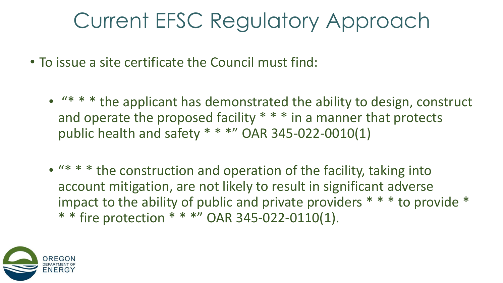## Current EFSC Regulatory Approach

- To issue a site certificate the Council must find:
	- "\* \* \* the applicant has demonstrated the ability to design, construct and operate the proposed facility \* \* \* in a manner that protects public health and safety \* \* \*" OAR 345-022-0010(1)
	- "\* \* \* the construction and operation of the facility, taking into account mitigation, are not likely to result in significant adverse impact to the ability of public and private providers \* \* \* to provide \* \* \* fire protection \* \* \*" OAR 345-022-0110(1).

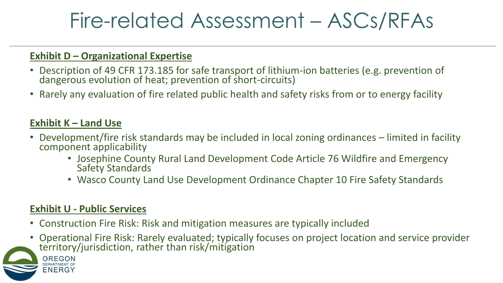### Fire-related Assessment – ASCs/RFAs

#### **Exhibit D – Organizational Expertise**

- Description of 49 CFR 173.185 for safe transport of lithium-ion batteries (e.g. prevention of dangerous evolution of heat; prevention of short-circuits)
- Rarely any evaluation of fire related public health and safety risks from or to energy facility

#### **Exhibit K – Land Use**

- Development/fire risk standards may be included in local zoning ordinances limited in facility component applicability
	- Josephine County Rural Land Development Code Article 76 Wildfire and Emergency Safety Standards
	- Wasco County Land Use Development Ordinance Chapter 10 Fire Safety Standards

#### **Exhibit U - Public Services**

OREGON

ENERG)

- Construction Fire Risk: Risk and mitigation measures are typically included
- Operational Fire Risk: Rarely evaluated; typically focuses on project location and service provider territory/jurisdiction, rather than risk/mitigation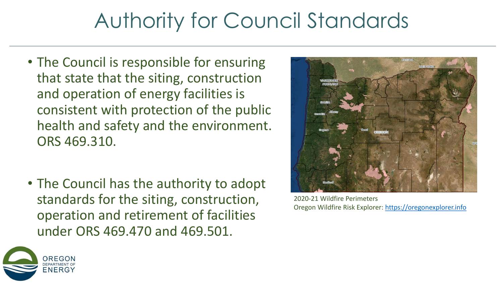## Authority for Council Standards

- The Council is responsible for ensuring that state that the siting, construction and operation of energy facilities is consistent with protection of the public health and safety and the environment. ORS 469.310.
- The Council has the authority to adopt standards for the siting, construction, operation and retirement of facilities under ORS 469.470 and 469.501.



2020-21 Wildfire Perimeters Oregon Wildfire Risk Explorer: [https://oregonexplorer.info](https://tools.oregonexplorer.info/)

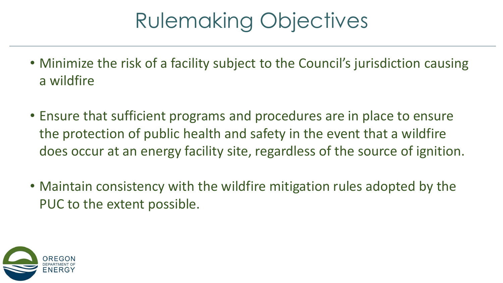# Rulemaking Objectives

- Minimize the risk of a facility subject to the Council's jurisdiction causing a wildfire
- Ensure that sufficient programs and procedures are in place to ensure the protection of public health and safety in the event that a wildfire does occur at an energy facility site, regardless of the source of ignition.
- Maintain consistency with the wildfire mitigation rules adopted by the PUC to the extent possible.

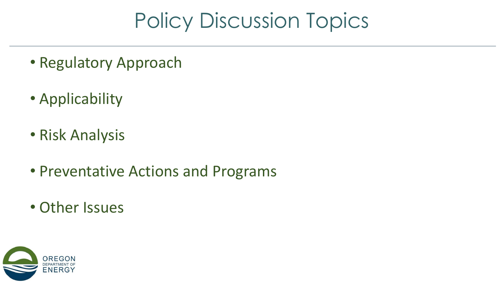## Policy Discussion Topics

- Regulatory Approach
- Applicability
- Risk Analysis
- Preventative Actions and Programs
- Other Issues

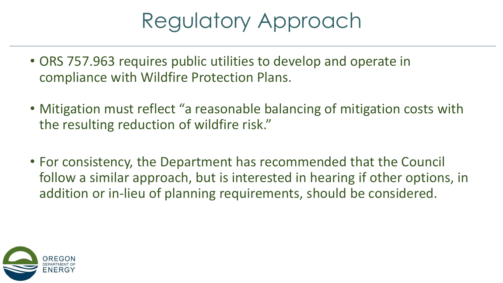## Regulatory Approach

- ORS 757.963 requires public utilities to develop and operate in compliance with Wildfire Protection Plans.
- Mitigation must reflect "a reasonable balancing of mitigation costs with the resulting reduction of wildfire risk."
- For consistency, the Department has recommended that the Council follow a similar approach, but is interested in hearing if other options, in addition or in-lieu of planning requirements, should be considered.

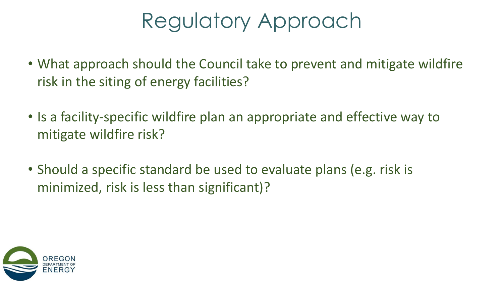## Regulatory Approach

- What approach should the Council take to prevent and mitigate wildfire risk in the siting of energy facilities?
- Is a facility-specific wildfire plan an appropriate and effective way to mitigate wildfire risk?
- Should a specific standard be used to evaluate plans (e.g. risk is minimized, risk is less than significant)?

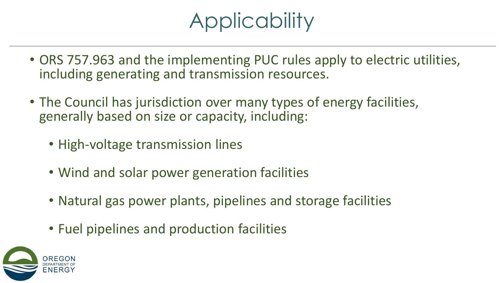# **Applicability**

- ORS 757.963 and the implementing PUC rules apply to electric utilities, including generating and transmission resources.
- The Council has jurisdiction over many types of energy facilities, generally based on size or capacity, including:
	- High-voltage transmission lines
	- Wind and solar power generation facilities
	- Natural gas power plants, pipelines and storage facilities
	- Fuel pipelines and production facilities

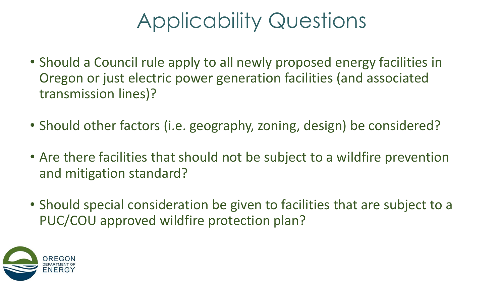# Applicability Questions

- Should a Council rule apply to all newly proposed energy facilities in Oregon or just electric power generation facilities (and associated transmission lines)?
- Should other factors (i.e. geography, zoning, design) be considered?
- Are there facilities that should not be subject to a wildfire prevention and mitigation standard?
- Should special consideration be given to facilities that are subject to a PUC/COU approved wildfire protection plan?

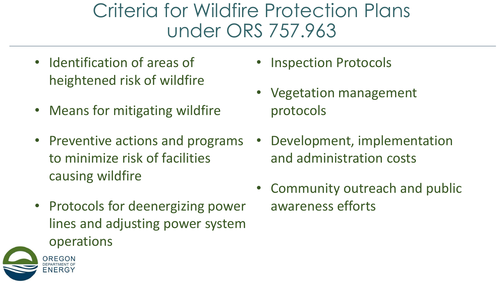#### Criteria for Wildfire Protection Plans under ORS 757.963

- Identification of areas of heightened risk of wildfire
- Means for mitigating wildfire
- Preventive actions and programs to minimize risk of facilities causing wildfire
- Protocols for deenergizing power lines and adjusting power system operations



- Vegetation management protocols
- Development, implementation and administration costs
- Community outreach and public awareness efforts

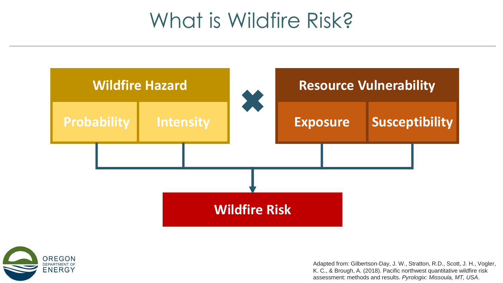#### What is Wildfire Risk?





Adapted from: Gilbertson-Day, J. W., Stratton, R.D., Scott, J. H., Vogler, K. C., & Brough, A. (2018). Pacific northwest quantitative wildfire risk assessment: methods and results. *Pyrologix: Missoula, MT, USA*.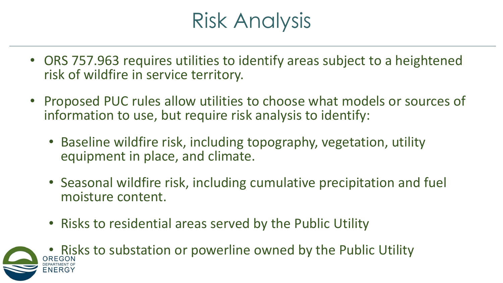## Risk Analysis

- ORS 757.963 requires utilities to identify areas subject to a heightened risk of wildfire in service territory.
- Proposed PUC rules allow utilities to choose what models or sources of information to use, but require risk analysis to identify:
	- Baseline wildfire risk, including topography, vegetation, utility equipment in place, and climate.
	- Seasonal wildfire risk, including cumulative precipitation and fuel moisture content.
	- Risks to residential areas served by the Public Utility
- Risks to substation or powerline owned by the Public Utility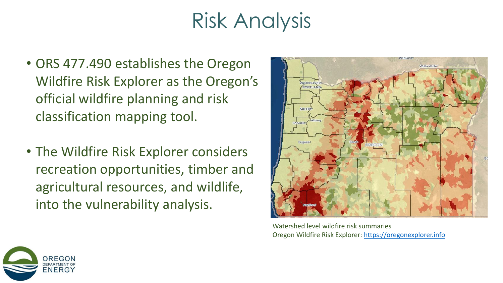## Risk Analysis

- ORS 477.490 establishes the Oregon Wildfire Risk Explorer as the Oregon's official wildfire planning and risk classification mapping tool.
- The Wildfire Risk Explorer considers recreation opportunities, timber and agricultural resources, and wildlife, into the vulnerability analysis.



Watershed level wildfire risk summaries Oregon Wildfire Risk Explorer: [https://oregonexplorer.info](https://tools.oregonexplorer.info/)

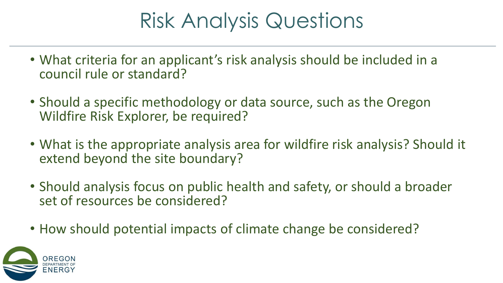## Risk Analysis Questions

- What criteria for an applicant's risk analysis should be included in a council rule or standard?
- Should a specific methodology or data source, such as the Oregon Wildfire Risk Explorer, be required?
- What is the appropriate analysis area for wildfire risk analysis? Should it extend beyond the site boundary?
- Should analysis focus on public health and safety, or should a broader set of resources be considered?
- How should potential impacts of climate change be considered?

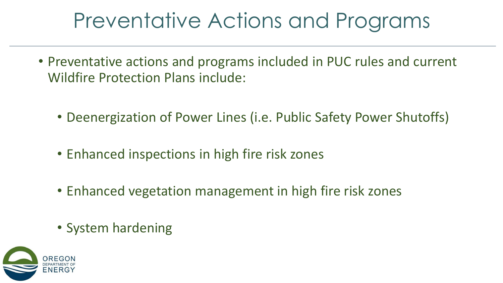## Preventative Actions and Programs

- Preventative actions and programs included in PUC rules and current Wildfire Protection Plans include:
	- Deenergization of Power Lines (i.e. Public Safety Power Shutoffs)
	- Enhanced inspections in high fire risk zones
	- Enhanced vegetation management in high fire risk zones
	- System hardening

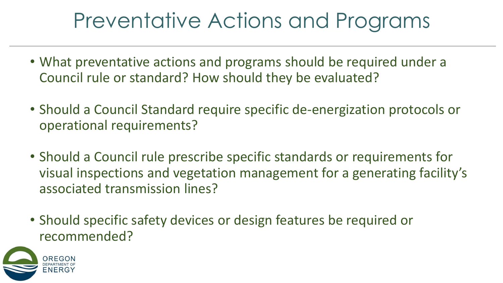## Preventative Actions and Programs

- What preventative actions and programs should be required under a Council rule or standard? How should they be evaluated?
- Should a Council Standard require specific de-energization protocols or operational requirements?
- Should a Council rule prescribe specific standards or requirements for visual inspections and vegetation management for a generating facility's associated transmission lines?
- Should specific safety devices or design features be required or recommended?

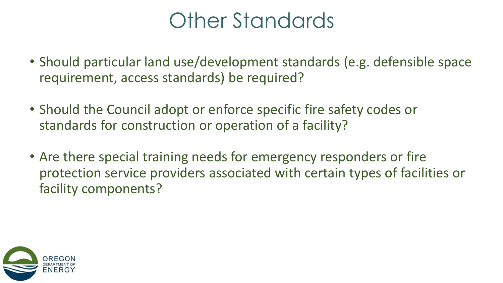## Other Standards

- Should particular land use/development standards (e.g. defensible space requirement, access standards) be required?
- Should the Council adopt or enforce specific fire safety codes or standards for construction or operation of a facility?
- Are there special training needs for emergency responders or fire protection service providers associated with certain types of facilities or facility components?

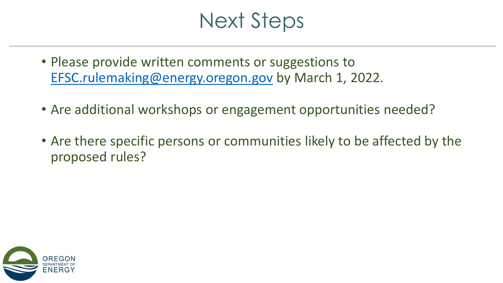### Next Steps

- Please provide written comments or suggestions to [EFSC.rulemaking@energy.oregon.gov](mailto:EFSC.rulemaking@energy.oregon.gov) by March 1, 2022.
- Are additional workshops or engagement opportunities needed?
- Are there specific persons or communities likely to be affected by the proposed rules?